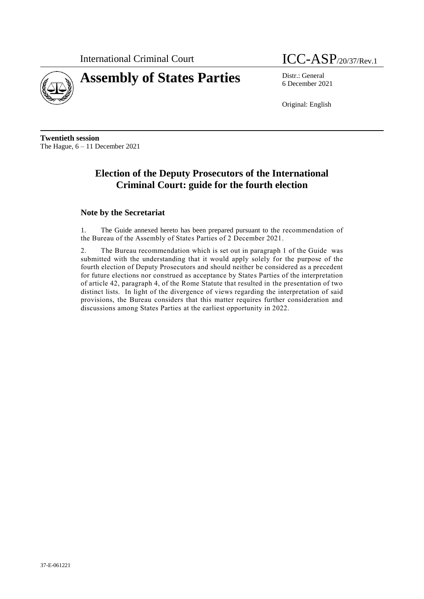

# **Assembly of States Parties** Distr.: General

International Criminal Court ICC-ASP<sub>/20/37/Rev.1</sub>

6 December 2021

Original: English

**Twentieth session** The Hague, 6 – 11 December 2021

# **Election of the Deputy Prosecutors of the International Criminal Court: guide for the fourth election**

### **Note by the Secretariat**

1. The Guide annexed hereto has been prepared pursuant to the recommendation of the Bureau of the Assembly of States Parties of 2 December 2021.

2. The Bureau recommendation which is set out in paragraph 1 of the Guide was submitted with the understanding that it would apply solely for the purpose of the fourth election of Deputy Prosecutors and should neither be considered as a precedent for future elections nor construed as acceptance by States Parties of the interpretation of article 42, paragraph 4, of the Rome Statute that resulted in the presentation of two distinct lists. In light of the divergence of views regarding the interpretation of said provisions, the Bureau considers that this matter requires further consideration and discussions among States Parties at the earliest opportunity in 2022.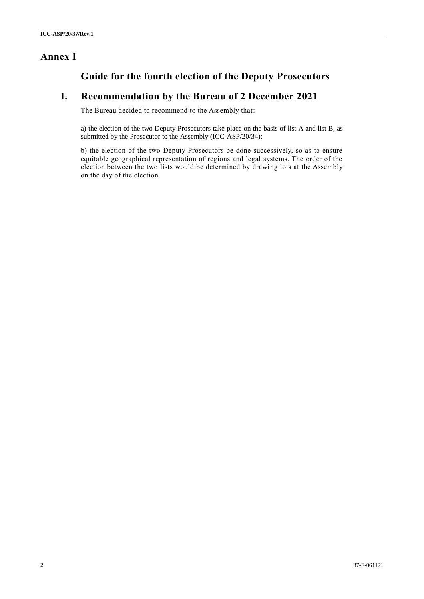## **Annex I**

# **Guide for the fourth election of the Deputy Prosecutors**

### **I. Recommendation by the Bureau of 2 December 2021**

The Bureau decided to recommend to the Assembly that:

a) the election of the two Deputy Prosecutors take place on the basis of list A and list B, as submitted by the Prosecutor to the Assembly (ICC-ASP/20/34);

b) the election of the two Deputy Prosecutors be done successively, so as to ensure equitable geographical representation of regions and legal systems. The order of the election between the two lists would be determined by drawing lots at the Assembly on the day of the election.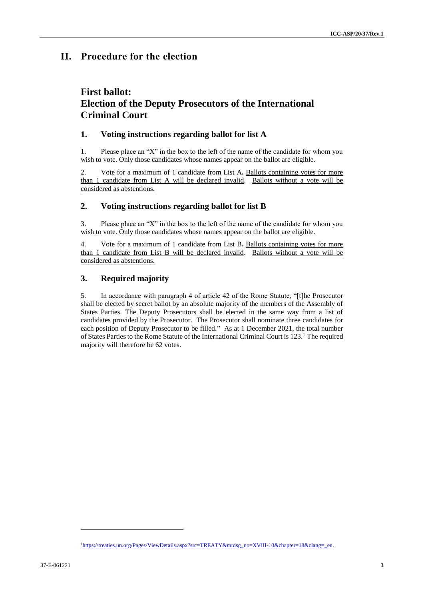### **II. Procedure for the election**

# **First ballot: Election of the Deputy Prosecutors of the International Criminal Court**

#### **1. Voting instructions regarding ballot for list A**

1. Please place an "X" in the box to the left of the name of the candidate for whom you wish to vote. Only those candidates whose names appear on the ballot are eligible.

2. Vote for a maximum of 1 candidate from List A**.** Ballots containing votes for more than 1 candidate from List A will be declared invalid. Ballots without a vote will be considered as abstentions.

### **2. Voting instructions regarding ballot for list B**

3. Please place an "X" in the box to the left of the name of the candidate for whom you wish to vote. Only those candidates whose names appear on the ballot are eligible.

4. Vote for a maximum of 1 candidate from List B**.** Ballots containing votes for more than 1 candidate from List B will be declared invalid. Ballots without a vote will be considered as abstentions.

### **3. Required majority**

5. In accordance with paragraph 4 of article 42 of the Rome Statute, "[t]he Prosecutor shall be elected by secret ballot by an absolute majority of the members of the Assembly of States Parties. The Deputy Prosecutors shall be elected in the same way from a list of candidates provided by the Prosecutor. The Prosecutor shall nominate three candidates for each position of Deputy Prosecutor to be filled." As at 1 December 2021, the total number of States Parties to the Rome Statute of the International Criminal Court is 123.<sup>1</sup> The required majority will therefore be 62 votes.

l

<sup>1</sup>[https://treaties.un.org/Pages/ViewDetails.aspx?src=TREATY&mtdsg\\_no=XVIII-10&chapter=18&clang=\\_en.](https://treaties.un.org/Pages/ViewDetails.aspx?src=TREATY&mtdsg_no=XVIII-10&chapter=18&clang=_en)